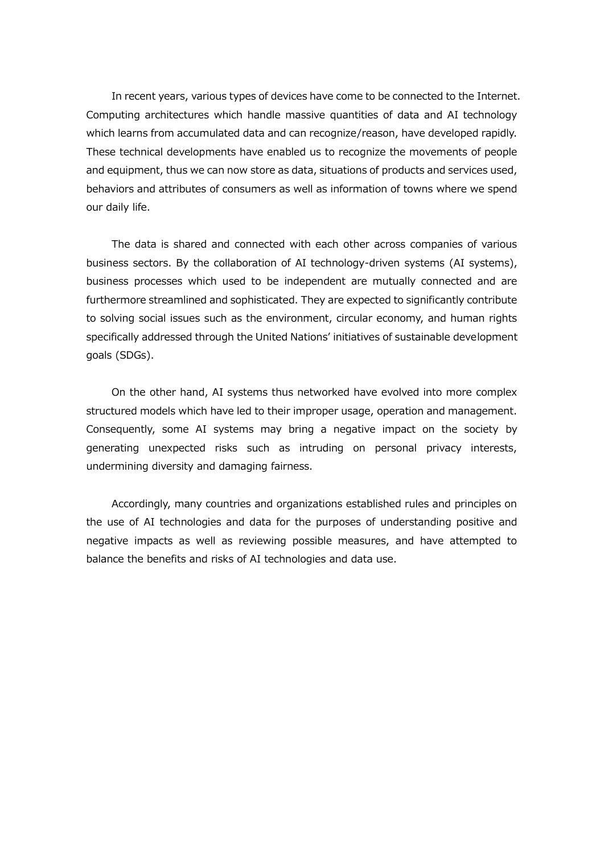In recent years, various types of devices have come to be connected to the Internet. Computing architectures which handle massive quantities of data and AI technology which learns from accumulated data and can recognize/reason, have developed rapidly. These technical developments have enabled us to recognize the movements of people and equipment, thus we can now store as data, situations of products and services used, behaviors and attributes of consumers as well as information of towns where we spend our daily life.

The data is shared and connected with each other across companies of various business sectors. By the collaboration of AI technology-driven systems (AI systems), business processes which used to be independent are mutually connected and are furthermore streamlined and sophisticated. They are expected to significantly contribute to solving social issues such as the environment, circular economy, and human rights specifically addressed through the United Nations' initiatives of sustainable development goals (SDGs).

On the other hand, AI systems thus networked have evolved into more complex structured models which have led to their improper usage, operation and management. Consequently, some AI systems may bring a negative impact on the society by generating unexpected risks such as intruding on personal privacy interests, undermining diversity and damaging fairness.

Accordingly, many countries and organizations established rules and principles on the use of AI technologies and data for the purposes of understanding positive and negative impacts as well as reviewing possible measures, and have attempted to balance the benefits and risks of AI technologies and data use.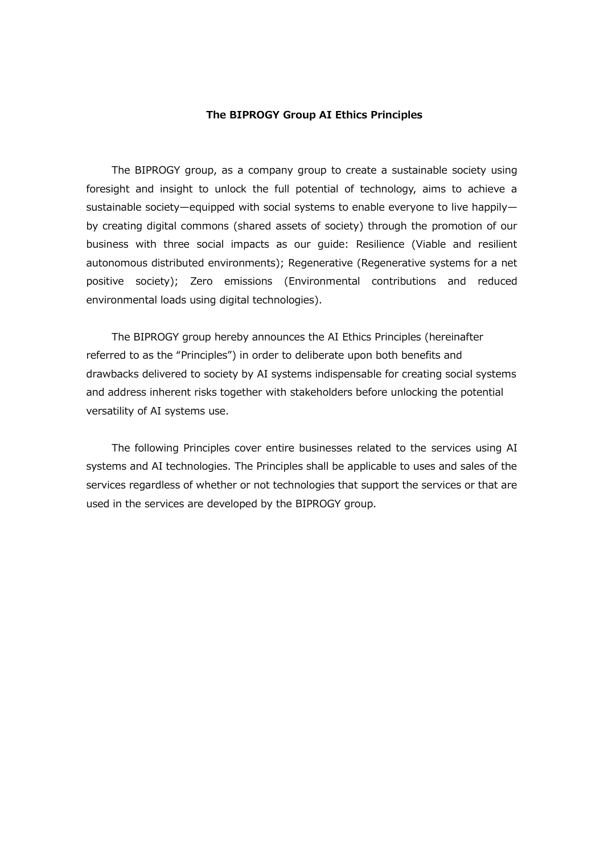## **The BIPROGY Group AI Ethics Principles**

The BIPROGY group, as a company group to create a sustainable society using foresight and insight to unlock the full potential of technology, aims to achieve a sustainable society—equipped with social systems to enable everyone to live happily by creating digital commons (shared assets of society) through the promotion of our business with three social impacts as our guide: Resilience (Viable and resilient autonomous distributed environments); Regenerative (Regenerative systems for a net positive society); Zero emissions (Environmental contributions and reduced environmental loads using digital technologies).

The BIPROGY group hereby announces the AI Ethics Principles (hereinafter referred to as the "Principles") in order to deliberate upon both benefits and drawbacks delivered to society by AI systems indispensable for creating social systems and address inherent risks together with stakeholders before unlocking the potential versatility of AI systems use.

The following Principles cover entire businesses related to the services using AI systems and AI technologies. The Principles shall be applicable to uses and sales of the services regardless of whether or not technologies that support the services or that are used in the services are developed by the BIPROGY group.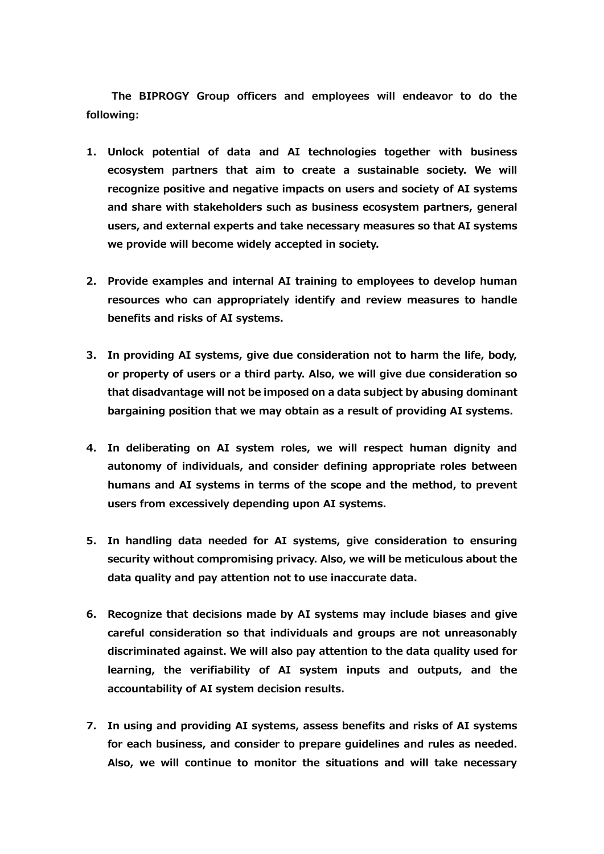**The BIPROGY Group officers and employees will endeavor to do the following:**

- **1. Unlock potential of data and AI technologies together with business ecosystem partners that aim to create a sustainable society. We will recognize positive and negative impacts on users and society of AI systems and share with stakeholders such as business ecosystem partners, general users, and external experts and take necessary measures so that AI systems we provide will become widely accepted in society.**
- **2. Provide examples and internal AI training to employees to develop human resources who can appropriately identify and review measures to handle benefits and risks of AI systems.**
- **3. In providing AI systems, give due consideration not to harm the life, body, or property of users or a third party. Also, we will give due consideration so that disadvantage will not be imposed on a data subject by abusing dominant bargaining position that we may obtain as a result of providing AI systems.**
- **4. In deliberating on AI system roles, we will respect human dignity and autonomy of individuals, and consider defining appropriate roles between humans and AI systems in terms of the scope and the method, to prevent users from excessively depending upon AI systems.**
- **5. In handling data needed for AI systems, give consideration to ensuring security without compromising privacy. Also, we will be meticulous about the data quality and pay attention not to use inaccurate data.**
- **6. Recognize that decisions made by AI systems may include biases and give careful consideration so that individuals and groups are not unreasonably discriminated against. We will also pay attention to the data quality used for learning, the verifiability of AI system inputs and outputs, and the accountability of AI system decision results.**
- **7. In using and providing AI systems, assess benefits and risks of AI systems for each business, and consider to prepare guidelines and rules as needed. Also, we will continue to monitor the situations and will take necessary**